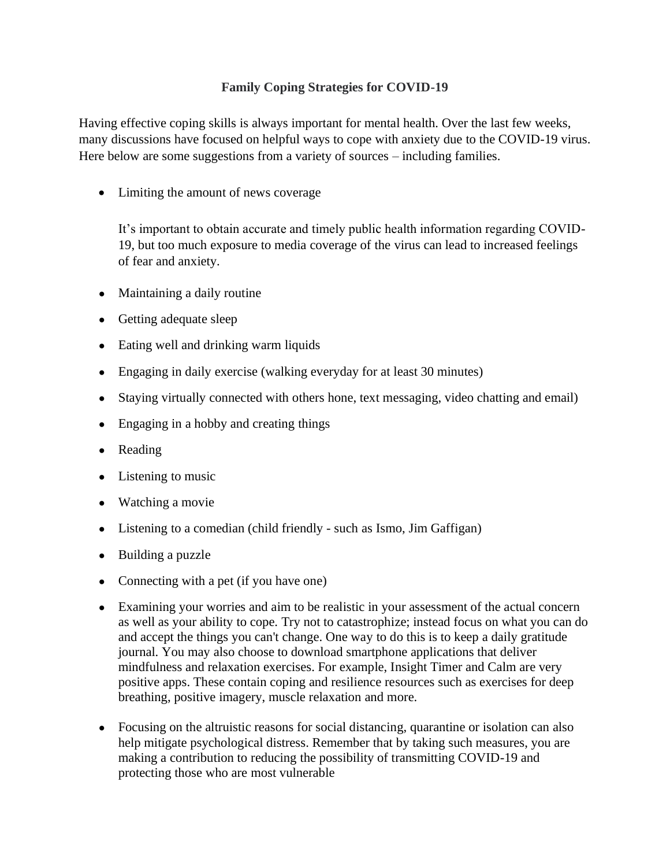## **Family Coping Strategies for COVID-19**

Having effective coping skills is always important for mental health. Over the last few weeks, many discussions have focused on helpful ways to cope with anxiety due to the COVID-19 virus. Here below are some suggestions from a variety of sources – including families.

• Limiting the amount of news coverage

It's important to obtain accurate and timely public health information regarding COVID-19, but too much exposure to media coverage of the virus can lead to increased feelings of fear and anxiety.

- Maintaining a daily routine
- Getting adequate sleep
- Eating well and drinking warm liquids
- Engaging in daily exercise (walking everyday for at least 30 minutes)
- Staying virtually connected with others hone, text messaging, video chatting and email)
- Engaging in a hobby and creating things
- Reading
- Listening to music
- Watching a movie
- Listening to a comedian (child friendly such as Ismo, Jim Gaffigan)
- Building a puzzle
- Connecting with a pet (if you have one)
- Examining your worries and aim to be realistic in your assessment of the actual concern as well as your ability to cope. Try not to catastrophize; instead focus on what you can do and accept the things you can't change. One way to do this is to keep a daily gratitude journal. You may also choose to download smartphone applications that deliver mindfulness and relaxation exercises. For example, Insight Timer and Calm are very positive apps. These contain coping and resilience resources such as exercises for deep breathing, positive imagery, muscle relaxation and more.
- Focusing on the altruistic reasons for social distancing, quarantine or isolation can also help mitigate psychological distress. Remember that by taking such measures, you are making a contribution to reducing the possibility of transmitting COVID-19 and protecting those who are most vulnerable